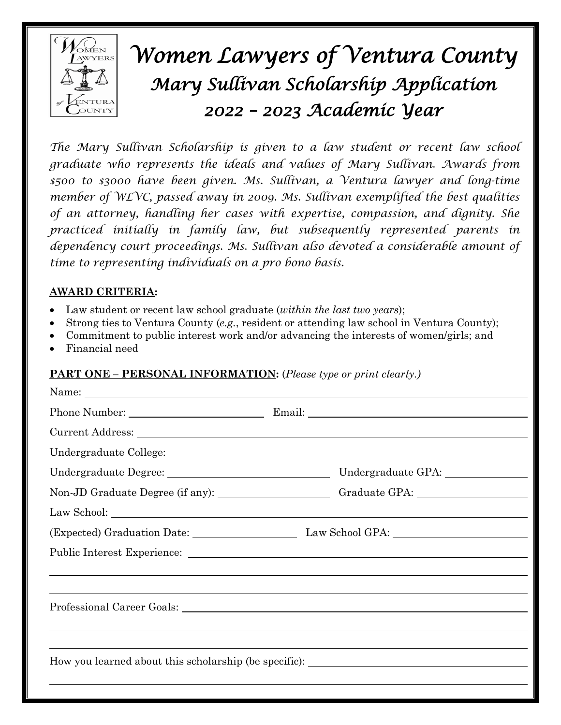

# *Women Lawyers of Ventura County Mary Sullivan Scholarship Application 2022 – 2023 Academic Year*

*The Mary Sullivan Scholarship is given to a law student or recent law school graduate who represents the ideals and values of Mary Sullivan. Awards from \$500 to \$3000 have been given. Ms. Sullivan, a Ventura lawyer and long-time member of WLVC, passed away in 2009. Ms. Sullivan exemplified the best qualities of an attorney, handling her cases with expertise, compassion, and dignity. She practiced initially in family law, but subsequently represented parents in dependency court proceedings. Ms. Sullivan also devoted a considerable amount of time to representing individuals on a pro bono basis.*

# **AWARD CRITERIA:**

- Law student or recent law school graduate (*within the last two years*);
- Strong ties to Ventura County (*e.g.*, resident or attending law school in Ventura County);
- Commitment to public interest work and/or advancing the interests of women/girls; and
- Financial need

### **PART ONE – PERSONAL INFORMATION:** (*Please type or print clearly.)*

|                                                                                  | Name:                                                                            |
|----------------------------------------------------------------------------------|----------------------------------------------------------------------------------|
|                                                                                  |                                                                                  |
|                                                                                  |                                                                                  |
|                                                                                  |                                                                                  |
|                                                                                  |                                                                                  |
|                                                                                  | Non-JD Graduate Degree (if any): Craduate GPA: Craduate GPA:                     |
|                                                                                  |                                                                                  |
|                                                                                  |                                                                                  |
|                                                                                  |                                                                                  |
|                                                                                  | ,我们也不会有什么?""我们的人,我们也不会有什么?""我们的人,我们也不会有什么?""我们的人,我们也不会有什么?""我们的人,我们也不会有什么?""我们的人 |
| ,我们也不会有什么。""我们的人,我们也不会有什么?""我们的人,我们也不会有什么?""我们的人,我们也不会有什么?""我们的人,我们也不会有什么?""我们的人 |                                                                                  |
|                                                                                  |                                                                                  |